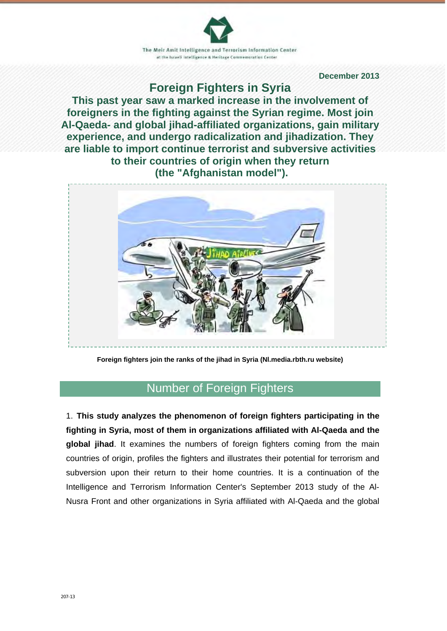The Meir Amit Intelligence and Terrorism Information Center at the Israeli intelligence & Heritage Commemoration Center

 **December 2013**

## **Foreign Fighters in Syria**

**This past year saw a marked increase in the involvement of foreigners in the fighting against the Syrian regime. Most join Al-Qaeda- and global jihad-affiliated organizations, gain military experience, and undergo radicalization and jihadization. They are liable to import continue terrorist and subversive activities to their countries of origin when they return (the "Afghanistan model").**



**Foreign fighters join the ranks of the jihad in Syria (Nl.media.rbth.ru website)**

## Number of Foreign Fighters

1. **This study analyzes the phenomenon of foreign fighters participating in the fighting in Syria, most of them in organizations affiliated with Al-Qaeda and the global jihad**. It examines the numbers of foreign fighters coming from the main countries of origin, profiles the fighters and illustrates their potential for terrorism and subversion upon their return to their home countries. It is a continuation of the Intelligence and Terrorism Information Center's September 2013 study of the Al-Nusra Front and other organizations in Syria affiliated with Al-Qaeda and the global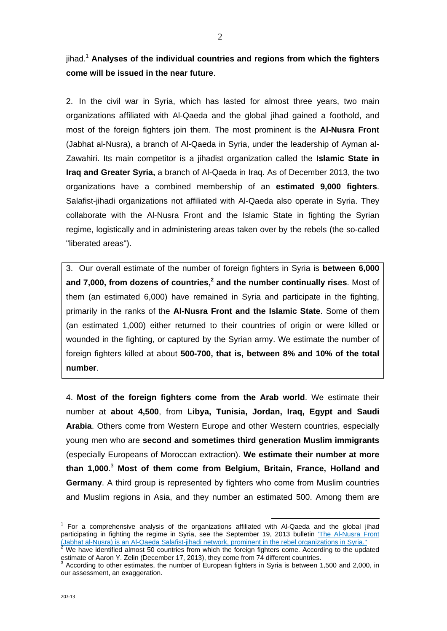jihad.1 **Analyses of the individual countries and regions from which the fighters come will be issued in the near future**.

2. In the civil war in Syria, which has lasted for almost three years, two main organizations affiliated with Al-Qaeda and the global jihad gained a foothold, and most of the foreign fighters join them. The most prominent is the **Al-Nusra Front** (Jabhat al-Nusra), a branch of Al-Qaeda in Syria, under the leadership of Ayman al-Zawahiri. Its main competitor is a jihadist organization called the **Islamic State in Iraq and Greater Syria,** a branch of Al-Qaeda in Iraq. As of December 2013, the two organizations have a combined membership of an **estimated 9,000 fighters**. Salafist-jihadi organizations not affiliated with Al-Qaeda also operate in Syria. They collaborate with the Al-Nusra Front and the Islamic State in fighting the Syrian regime, logistically and in administering areas taken over by the rebels (the so-called "liberated areas").

3. Our overall estimate of the number of foreign fighters in Syria is **between 6,000**  and 7,000, from dozens of countries,<sup>2</sup> and the number continually rises. Most of them (an estimated 6,000) have remained in Syria and participate in the fighting, primarily in the ranks of the **Al-Nusra Front and the Islamic State**. Some of them (an estimated 1,000) either returned to their countries of origin or were killed or wounded in the fighting, or captured by the Syrian army. We estimate the number of foreign fighters killed at about **500-700, that is, between 8% and 10% of the total number**.

4. **Most of the foreign fighters come from the Arab world**. We estimate their number at **about 4,500**, from **Libya, Tunisia, Jordan, Iraq, Egypt and Saudi Arabia**. Others come from Western Europe and other Western countries, especially young men who are **second and sometimes third generation Muslim immigrants** (especially Europeans of Moroccan extraction). **We estimate their number at more than 1,000**. <sup>3</sup> **Most of them come from Belgium, Britain, France, Holland and Germany**. A third group is represented by fighters who come from Muslim countries and Muslim regions in Asia, and they number an estimated 500. Among them are

<sup>1</sup> For a comprehensive analysis of the organizations affiliated with Al-Qaeda and the global jihad participating in fighting the regime in Syria, see the September 19, 2013 bulletin 'The Al-Nusra Front (Jabhat al-Nusra) is an Al-Qaeda Salafist-jihadi network, prominent in the rebel organizations in Syria."<br><sup>2</sup> We have identified almost 50 countries from which the foreign fighters come. According to the updated

estimate of Aaron Y. Zelin (December 17, 2013), they come from 74 different countries.

According to other estimates, the number of European fighters in Syria is between 1,500 and 2,000, in our assessment, an exaggeration.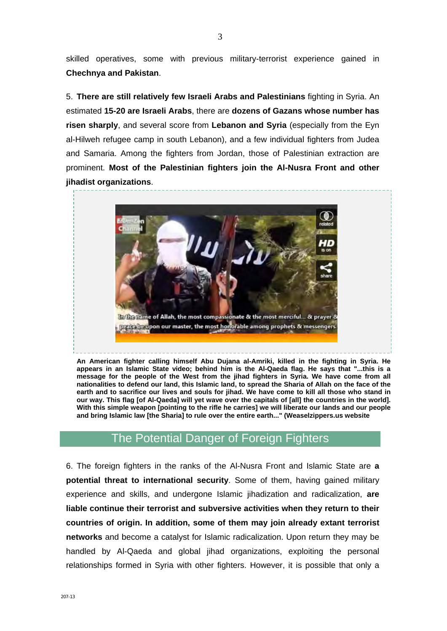skilled operatives, some with previous military-terrorist experience gained in **Chechnya and Pakistan**.

5. **There are still relatively few Israeli Arabs and Palestinians** fighting in Syria. An estimated **15-20 are Israeli Arabs**, there are **dozens of Gazans whose number has risen sharply**, and several score from **Lebanon and Syria** (especially from the Eyn al-Hilweh refugee camp in south Lebanon), and a few individual fighters from Judea and Samaria. Among the fighters from Jordan, those of Palestinian extraction are prominent. **Most of the Palestinian fighters join the Al-Nusra Front and other jihadist organizations**.



**An American fighter calling himself Abu Dujana al-Amriki, killed in the fighting in Syria. He appears in an Islamic State video; behind him is the Al-Qaeda flag. He says that "...this is a message for the people of the West from the jihad fighters in Syria. We have come from all nationalities to defend our land, this Islamic land, to spread the Sharia of Allah on the face of the earth and to sacrifice our lives and souls for jihad. We have come to kill all those who stand in our way. This flag [of Al-Qaeda] will yet wave over the capitals of [all] the countries in the world]. With this simple weapon [pointing to the rifle he carries] we will liberate our lands and our people and bring Islamic law [the Sharia] to rule over the entire earth..." (Weaselzippers.us website**

## The Potential Danger of Foreign Fighters

6. The foreign fighters in the ranks of the Al-Nusra Front and Islamic State are **a potential threat to international security**. Some of them, having gained military experience and skills, and undergone Islamic jihadization and radicalization, **are liable continue their terrorist and subversive activities when they return to their countries of origin. In addition, some of them may join already extant terrorist networks** and become a catalyst for Islamic radicalization. Upon return they may be handled by Al-Qaeda and global jihad organizations, exploiting the personal relationships formed in Syria with other fighters. However, it is possible that only a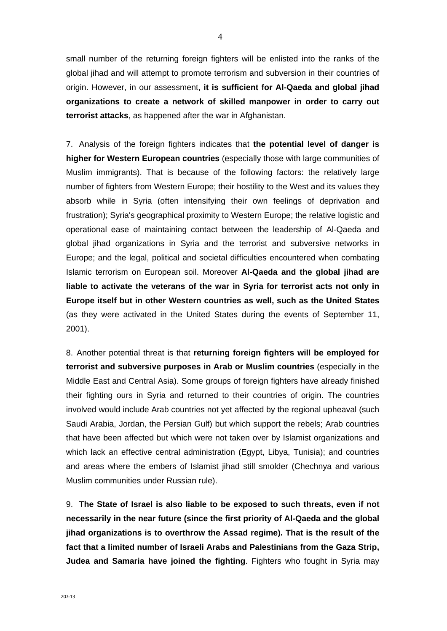small number of the returning foreign fighters will be enlisted into the ranks of the global jihad and will attempt to promote terrorism and subversion in their countries of origin. However, in our assessment, **it is sufficient for Al-Qaeda and global jihad organizations to create a network of skilled manpower in order to carry out terrorist attacks**, as happened after the war in Afghanistan.

7. Analysis of the foreign fighters indicates that **the potential level of danger is higher for Western European countries** (especially those with large communities of Muslim immigrants). That is because of the following factors: the relatively large number of fighters from Western Europe; their hostility to the West and its values they absorb while in Syria (often intensifying their own feelings of deprivation and frustration); Syria's geographical proximity to Western Europe; the relative logistic and operational ease of maintaining contact between the leadership of Al-Qaeda and global jihad organizations in Syria and the terrorist and subversive networks in Europe; and the legal, political and societal difficulties encountered when combating Islamic terrorism on European soil. Moreover **Al-Qaeda and the global jihad are liable to activate the veterans of the war in Syria for terrorist acts not only in Europe itself but in other Western countries as well, such as the United States**  (as they were activated in the United States during the events of September 11, 2001).

8. Another potential threat is that **returning foreign fighters will be employed for terrorist and subversive purposes in Arab or Muslim countries** (especially in the Middle East and Central Asia). Some groups of foreign fighters have already finished their fighting ours in Syria and returned to their countries of origin. The countries involved would include Arab countries not yet affected by the regional upheaval (such Saudi Arabia, Jordan, the Persian Gulf) but which support the rebels; Arab countries that have been affected but which were not taken over by Islamist organizations and which lack an effective central administration (Egypt, Libya, Tunisia); and countries and areas where the embers of Islamist jihad still smolder (Chechnya and various Muslim communities under Russian rule).

9. **The State of Israel is also liable to be exposed to such threats, even if not necessarily in the near future (since the first priority of Al-Qaeda and the global jihad organizations is to overthrow the Assad regime). That is the result of the fact that a limited number of Israeli Arabs and Palestinians from the Gaza Strip, Judea and Samaria have joined the fighting**. Fighters who fought in Syria may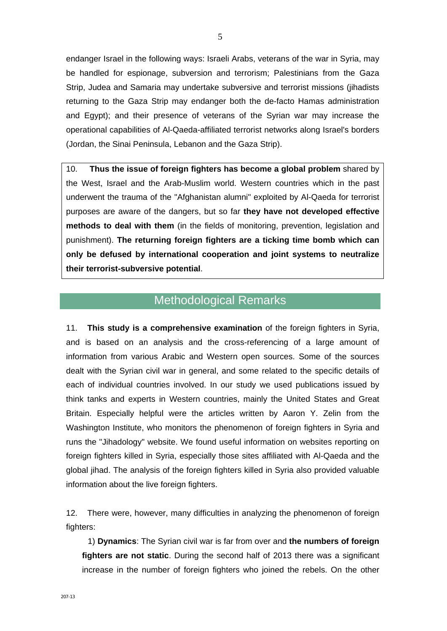endanger Israel in the following ways: Israeli Arabs, veterans of the war in Syria, may be handled for espionage, subversion and terrorism; Palestinians from the Gaza Strip, Judea and Samaria may undertake subversive and terrorist missions (jihadists returning to the Gaza Strip may endanger both the de-facto Hamas administration and Egypt); and their presence of veterans of the Syrian war may increase the operational capabilities of Al-Qaeda-affiliated terrorist networks along Israel's borders (Jordan, the Sinai Peninsula, Lebanon and the Gaza Strip).

10. **Thus the issue of foreign fighters has become a global problem** shared by the West, Israel and the Arab-Muslim world. Western countries which in the past underwent the trauma of the "Afghanistan alumni" exploited by Al-Qaeda for terrorist purposes are aware of the dangers, but so far **they have not developed effective methods to deal with them** (in the fields of monitoring, prevention, legislation and punishment). **The returning foreign fighters are a ticking time bomb which can only be defused by international cooperation and joint systems to neutralize their terrorist-subversive potential**.

## Methodological Remarks

11. **This study is a comprehensive examination** of the foreign fighters in Syria, and is based on an analysis and the cross-referencing of a large amount of information from various Arabic and Western open sources. Some of the sources dealt with the Syrian civil war in general, and some related to the specific details of each of individual countries involved. In our study we used publications issued by think tanks and experts in Western countries, mainly the United States and Great Britain. Especially helpful were the articles written by Aaron Y. Zelin from the Washington Institute, who monitors the phenomenon of foreign fighters in Syria and runs the "Jihadology" website. We found useful information on websites reporting on foreign fighters killed in Syria, especially those sites affiliated with Al-Qaeda and the global jihad. The analysis of the foreign fighters killed in Syria also provided valuable information about the live foreign fighters.

12. There were, however, many difficulties in analyzing the phenomenon of foreign fighters:

 1) **Dynamics**: The Syrian civil war is far from over and **the numbers of foreign fighters are not static**. During the second half of 2013 there was a significant increase in the number of foreign fighters who joined the rebels. On the other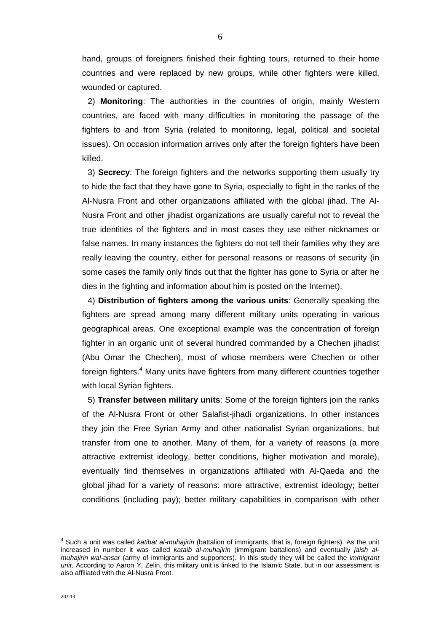hand, groups of foreigners finished their fighting tours, returned to their home countries and were replaced by new groups, while other fighters were killed, wounded or captured.

 2) **Monitoring**: The authorities in the countries of origin, mainly Western countries, are faced with many difficulties in monitoring the passage of the fighters to and from Syria (related to monitoring, legal, political and societal issues). On occasion information arrives only after the foreign fighters have been killed.

 3) **Secrecy**: The foreign fighters and the networks supporting them usually try to hide the fact that they have gone to Syria, especially to fight in the ranks of the Al-Nusra Front and other organizations affiliated with the global jihad. The Al-Nusra Front and other jihadist organizations are usually careful not to reveal the true identities of the fighters and in most cases they use either nicknames or false names. In many instances the fighters do not tell their families why they are really leaving the country, either for personal reasons or reasons of security (in some cases the family only finds out that the fighter has gone to Syria or after he dies in the fighting and information about him is posted on the Internet).

 4) **Distribution of fighters among the various units**: Generally speaking the fighters are spread among many different military units operating in various geographical areas. One exceptional example was the concentration of foreign fighter in an organic unit of several hundred commanded by a Chechen jihadist (Abu Omar the Chechen), most of whose members were Chechen or other foreign fighters.<sup>4</sup> Many units have fighters from many different countries together with local Syrian fighters.

 5) **Transfer between military units**: Some of the foreign fighters join the ranks of the Al-Nusra Front or other Salafist-jihadi organizations. In other instances they join the Free Syrian Army and other nationalist Syrian organizations, but transfer from one to another. Many of them, for a variety of reasons (a more attractive extremist ideology, better conditions, higher motivation and morale), eventually find themselves in organizations affiliated with Al-Qaeda and the global jihad for a variety of reasons: more attractive, extremist ideology; better conditions (including pay); better military capabilities in comparison with other

<sup>4</sup> Such a unit was called *katibat al-muhajirin* (battalion of immigrants, that is, foreign fighters). As the unit increased in number it was called *kataib al-muhajirin* (immigrant battalions) and eventually *jaish almuhajirin wal-ansar* (army of immigrants and supporters). In this study they will be called the *immigrant unit*. According to Aaron Y, Zelin, this military unit is linked to the Islamic State, but in our assessment is also affiliated with the Al-Nusra Front.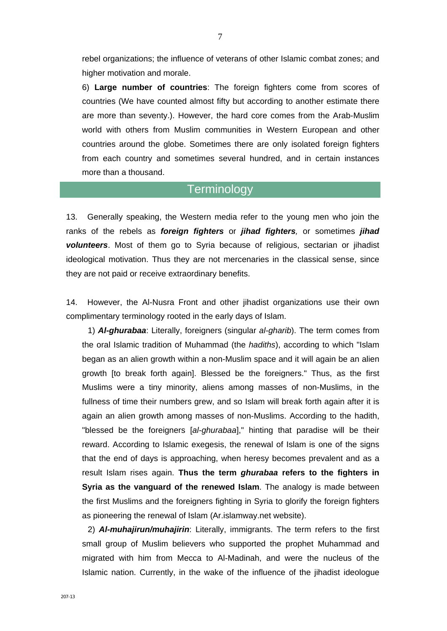rebel organizations; the influence of veterans of other Islamic combat zones; and higher motivation and morale.

6) **Large number of countries**: The foreign fighters come from scores of countries (We have counted almost fifty but according to another estimate there are more than seventy.). However, the hard core comes from the Arab-Muslim world with others from Muslim communities in Western European and other countries around the globe. Sometimes there are only isolated foreign fighters from each country and sometimes several hundred, and in certain instances more than a thousand.

## **Terminology**

13. Generally speaking, the Western media refer to the young men who join the ranks of the rebels as *foreign fighters* or *jihad fighters,* or sometimes *jihad volunteers*. Most of them go to Syria because of religious, sectarian or jihadist ideological motivation. Thus they are not mercenaries in the classical sense, since they are not paid or receive extraordinary benefits.

14. However, the Al-Nusra Front and other jihadist organizations use their own complimentary terminology rooted in the early days of Islam.

 1) *Al-ghurabaa*: Literally, foreigners (singular *al-gharib*). The term comes from the oral Islamic tradition of Muhammad (the *hadiths*), according to which "Islam began as an alien growth within a non-Muslim space and it will again be an alien growth [to break forth again]. Blessed be the foreigners." Thus, as the first Muslims were a tiny minority, aliens among masses of non-Muslims, in the fullness of time their numbers grew, and so Islam will break forth again after it is again an alien growth among masses of non-Muslims. According to the hadith, "blessed be the foreigners [*al-ghurabaa*]," hinting that paradise will be their reward. According to Islamic exegesis, the renewal of Islam is one of the signs that the end of days is approaching, when heresy becomes prevalent and as a result Islam rises again. **Thus the term** *ghurabaa* **refers to the fighters in Syria as the vanguard of the renewed Islam**. The analogy is made between the first Muslims and the foreigners fighting in Syria to glorify the foreign fighters as pioneering the renewal of Islam (Ar.islamway.net website).

 2) *Al-muhajirun/muhajirin*: Literally, immigrants. The term refers to the first small group of Muslim believers who supported the prophet Muhammad and migrated with him from Mecca to Al-Madinah, and were the nucleus of the Islamic nation. Currently, in the wake of the influence of the jihadist ideologue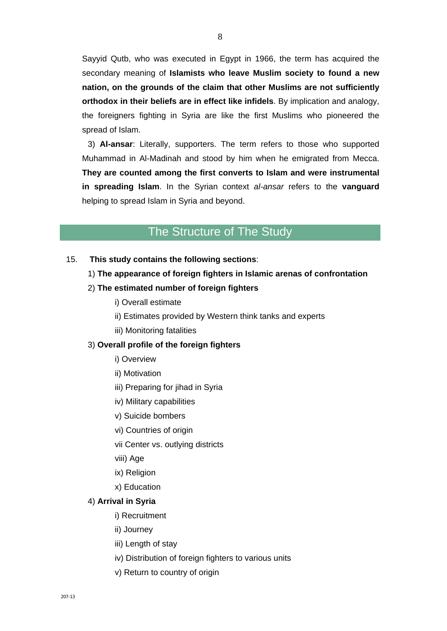Sayyid Qutb, who was executed in Egypt in 1966, the term has acquired the secondary meaning of **Islamists who leave Muslim society to found a new nation, on the grounds of the claim that other Muslims are not sufficiently orthodox in their beliefs are in effect like infidels**. By implication and analogy, the foreigners fighting in Syria are like the first Muslims who pioneered the spread of Islam.

 3) **Al-ansar**: Literally, supporters. The term refers to those who supported Muhammad in Al-Madinah and stood by him when he emigrated from Mecca. **They are counted among the first converts to Islam and were instrumental in spreading Islam**. In the Syrian context *al-ansar* refers to the **vanguard** helping to spread Islam in Syria and beyond.

## The Structure of The Study

15. **This study contains the following sections**:

#### 1) **The appearance of foreign fighters in Islamic arenas of confrontation**

- 2) **The estimated number of foreign fighters** 
	- i) Overall estimate
	- ii) Estimates provided by Western think tanks and experts
	- iii) Monitoring fatalities

#### 3) **Overall profile of the foreign fighters**

- i) Overview
- ii) Motivation
- iii) Preparing for jihad in Syria
- iv) Military capabilities
- v) Suicide bombers
- vi) Countries of origin
- vii Center vs. outlying districts
- viii) Age
- ix) Religion
- x) Education

#### 4) **Arrival in Syria**

- i) Recruitment
- ii) Journey
- iii) Length of stay
- iv) Distribution of foreign fighters to various units
- v) Return to country of origin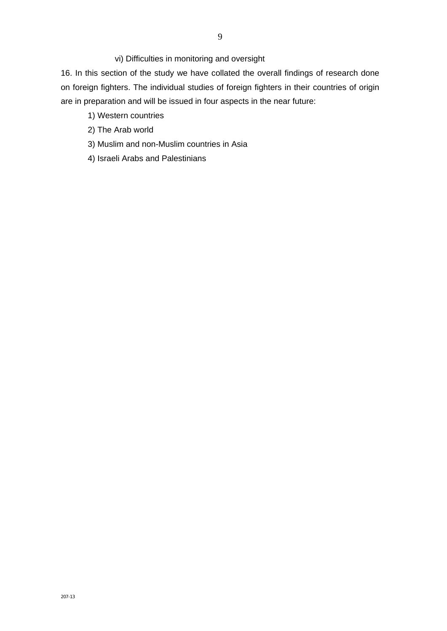vi) Difficulties in monitoring and oversight

16. In this section of the study we have collated the overall findings of research done on foreign fighters. The individual studies of foreign fighters in their countries of origin are in preparation and will be issued in four aspects in the near future:

- 1) Western countries
- 2) The Arab world
- 3) Muslim and non-Muslim countries in Asia
- 4) Israeli Arabs and Palestinians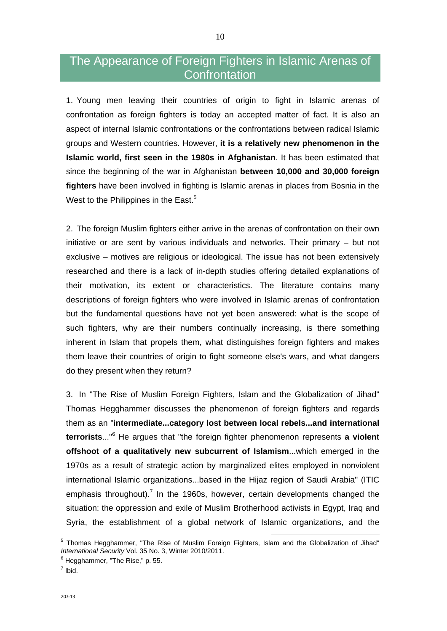# The Appearance of Foreign Fighters in Islamic Arenas of **Confrontation**

1. Young men leaving their countries of origin to fight in Islamic arenas of confrontation as foreign fighters is today an accepted matter of fact. It is also an aspect of internal Islamic confrontations or the confrontations between radical Islamic groups and Western countries. However, **it is a relatively new phenomenon in the Islamic world, first seen in the 1980s in Afghanistan**. It has been estimated that since the beginning of the war in Afghanistan **between 10,000 and 30,000 foreign fighters** have been involved in fighting is Islamic arenas in places from Bosnia in the West to the Philippines in the East.<sup>5</sup>

2. The foreign Muslim fighters either arrive in the arenas of confrontation on their own initiative or are sent by various individuals and networks. Their primary – but not exclusive – motives are religious or ideological. The issue has not been extensively researched and there is a lack of in-depth studies offering detailed explanations of their motivation, its extent or characteristics. The literature contains many descriptions of foreign fighters who were involved in Islamic arenas of confrontation but the fundamental questions have not yet been answered: what is the scope of such fighters, why are their numbers continually increasing, is there something inherent in Islam that propels them, what distinguishes foreign fighters and makes them leave their countries of origin to fight someone else's wars, and what dangers do they present when they return?

3. In "The Rise of Muslim Foreign Fighters, Islam and the Globalization of Jihad" Thomas Hegghammer discusses the phenomenon of foreign fighters and regards them as an "**intermediate...category lost between local rebels...and international terrorists**..."<sup>6</sup> He argues that "the foreign fighter phenomenon represents **a violent offshoot of a qualitatively new subcurrent of Islamism**...which emerged in the 1970s as a result of strategic action by marginalized elites employed in nonviolent international Islamic organizations...based in the Hijaz region of Saudi Arabia" (ITIC emphasis throughout).<sup>7</sup> In the 1960s, however, certain developments changed the situation: the oppression and exile of Muslim Brotherhood activists in Egypt, Iraq and Syria, the establishment of a global network of Islamic organizations, and the

<sup>5</sup> Thomas Hegghammer, "The Rise of Muslim Foreign Fighters, Islam and the Globalization of Jihad" *International Security* Vol. 35 No. 3, Winter 2010/2011.<br><sup>6</sup> Heggbernnes, "The Bies " p. 55

 $<sup>6</sup>$  Hegghammer, "The Rise," p. 55.</sup>

 $<sup>7</sup>$  Ibid.</sup>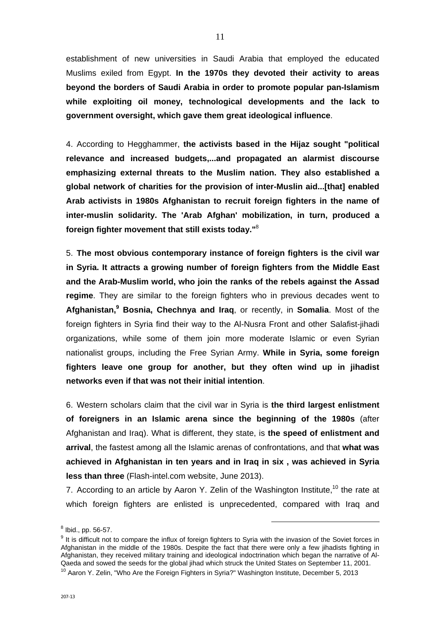establishment of new universities in Saudi Arabia that employed the educated Muslims exiled from Egypt. **In the 1970s they devoted their activity to areas beyond the borders of Saudi Arabia in order to promote popular pan-Islamism while exploiting oil money, technological developments and the lack to government oversight, which gave them great ideological influence**.

4. According to Hegghammer, **the activists based in the Hijaz sought "political relevance and increased budgets,...and propagated an alarmist discourse emphasizing external threats to the Muslim nation. They also established a global network of charities for the provision of inter-Muslin aid...[that] enabled Arab activists in 1980s Afghanistan to recruit foreign fighters in the name of inter-muslin solidarity. The 'Arab Afghan' mobilization, in turn, produced a foreign fighter movement that still exists today."**<sup>8</sup>

5. **The most obvious contemporary instance of foreign fighters is the civil war in Syria. It attracts a growing number of foreign fighters from the Middle East and the Arab-Muslim world, who join the ranks of the rebels against the Assad regime**. They are similar to the foreign fighters who in previous decades went to **Afghanistan,9 Bosnia, Chechnya and Iraq**, or recently, in **Somalia**. Most of the foreign fighters in Syria find their way to the Al-Nusra Front and other Salafist-jihadi organizations, while some of them join more moderate Islamic or even Syrian nationalist groups, including the Free Syrian Army. **While in Syria, some foreign fighters leave one group for another, but they often wind up in jihadist networks even if that was not their initial intention**.

6. Western scholars claim that the civil war in Syria is **the third largest enlistment of foreigners in an Islamic arena since the beginning of the 1980s** (after Afghanistan and Iraq). What is different, they state, is **the speed of enlistment and arrival**, the fastest among all the Islamic arenas of confrontations, and that **what was achieved in Afghanistan in ten years and in Iraq in six , was achieved in Syria less than three** (Flash-intel.com website, June 2013).

7. According to an article by Aaron Y. Zelin of the Washington Institute.<sup>10</sup> the rate at which foreign fighters are enlisted is unprecedented, compared with Iraq and

 $^8$  Ibid., pp. 56-57.  $\blacksquare$ 

<sup>&</sup>lt;sup>9</sup> It is difficult not to compare the influx of foreign fighters to Syria with the invasion of the Soviet forces in Afghanistan in the middle of the 1980s. Despite the fact that there were only a few jihadists fighting in Afghanistan, they received military training and ideological indoctrination which began the narrative of Al-<br>Qaeda and sowed the seeds for the global iihad which struck the United States on September 11, 2001.

 $10$  Aaron Y. Zelin, "Who Are the Foreign Fighters in Syria?" Washington Institute, December 5, 2013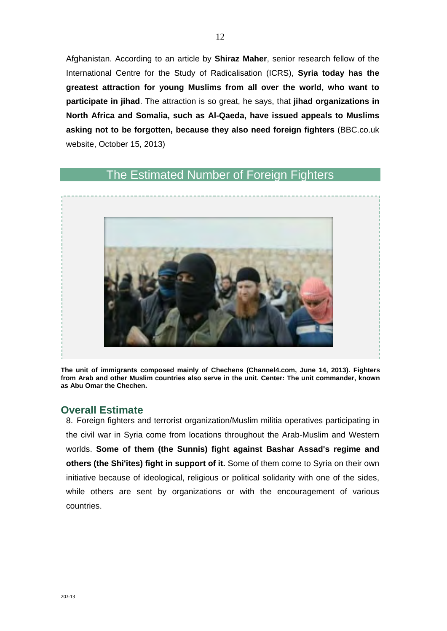Afghanistan. According to an article by **Shiraz Maher**, senior research fellow of the International Centre for the Study of Radicalisation (ICRS), **Syria today has the greatest attraction for young Muslims from all over the world, who want to participate in jihad**. The attraction is so great, he says, that **jihad organizations in North Africa and Somalia, such as Al-Qaeda, have issued appeals to Muslims asking not to be forgotten, because they also need foreign fighters** (BBC.co.uk website, October 15, 2013)

## The Estimated Number of Foreign Fighters



**The unit of immigrants composed mainly of Chechens (Channel4.com, June 14, 2013). Fighters from Arab and other Muslim countries also serve in the unit. Center: The unit commander, known as Abu Omar the Chechen.** 

### **Overall Estimate**

8. Foreign fighters and terrorist organization/Muslim militia operatives participating in the civil war in Syria come from locations throughout the Arab-Muslim and Western worlds. **Some of them (the Sunnis) fight against Bashar Assad's regime and others (the Shi'ites) fight in support of it.** Some of them come to Syria on their own initiative because of ideological, religious or political solidarity with one of the sides, while others are sent by organizations or with the encouragement of various countries.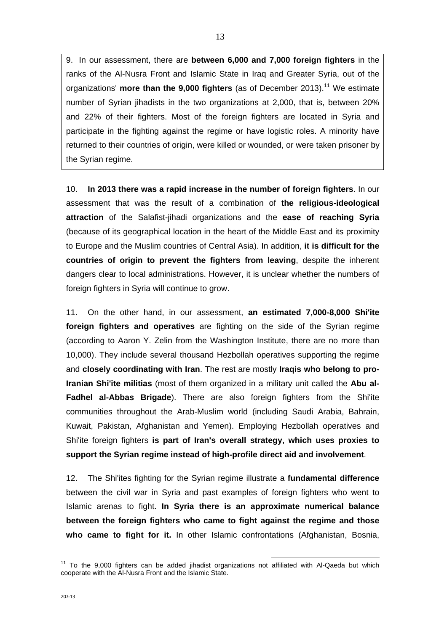9. In our assessment, there are **between 6,000 and 7,000 foreign fighters** in the ranks of the Al-Nusra Front and Islamic State in Iraq and Greater Syria, out of the organizations' **more than the 9.000 fighters** (as of December 2013).<sup>11</sup> We estimate number of Syrian jihadists in the two organizations at 2,000, that is, between 20% and 22% of their fighters. Most of the foreign fighters are located in Syria and participate in the fighting against the regime or have logistic roles. A minority have returned to their countries of origin, were killed or wounded, or were taken prisoner by the Syrian regime.

10. **In 2013 there was a rapid increase in the number of foreign fighters**. In our assessment that was the result of a combination of **the religious-ideological attraction** of the Salafist-jihadi organizations and the **ease of reaching Syria** (because of its geographical location in the heart of the Middle East and its proximity to Europe and the Muslim countries of Central Asia). In addition, **it is difficult for the countries of origin to prevent the fighters from leaving**, despite the inherent dangers clear to local administrations. However, it is unclear whether the numbers of foreign fighters in Syria will continue to grow.

11. On the other hand, in our assessment, **an estimated 7,000-8,000 Shi'ite foreign fighters and operatives** are fighting on the side of the Syrian regime (according to Aaron Y. Zelin from the Washington Institute, there are no more than 10,000). They include several thousand Hezbollah operatives supporting the regime and **closely coordinating with Iran**. The rest are mostly **Iraqis who belong to pro-Iranian Shi'ite militias** (most of them organized in a military unit called the **Abu al-Fadhel al-Abbas Brigade**). There are also foreign fighters from the Shi'ite communities throughout the Arab-Muslim world (including Saudi Arabia, Bahrain, Kuwait, Pakistan, Afghanistan and Yemen). Employing Hezbollah operatives and Shi'ite foreign fighters **is part of Iran's overall strategy, which uses proxies to support the Syrian regime instead of high-profile direct aid and involvement**.

12. The Shi'ites fighting for the Syrian regime illustrate a **fundamental difference** between the civil war in Syria and past examples of foreign fighters who went to Islamic arenas to fight. **In Syria there is an approximate numerical balance between the foreign fighters who came to fight against the regime and those who came to fight for it.** In other Islamic confrontations (Afghanistan, Bosnia,

 $11$  To the 9,000 fighters can be added jihadist organizations not affiliated with Al-Qaeda but which cooperate with the Al-Nusra Front and the Islamic State.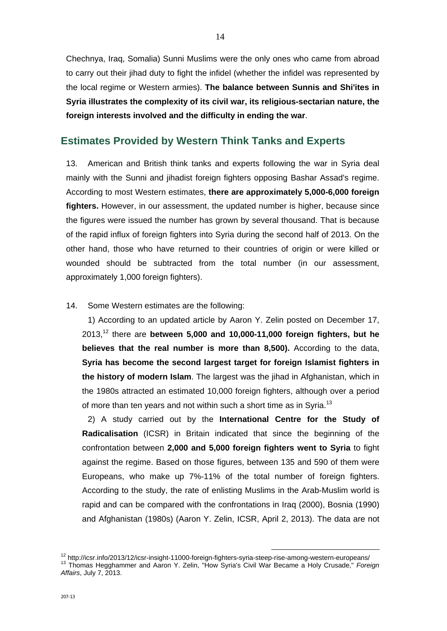Chechnya, Iraq, Somalia) Sunni Muslims were the only ones who came from abroad to carry out their jihad duty to fight the infidel (whether the infidel was represented by the local regime or Western armies). **The balance between Sunnis and Shi'ites in Syria illustrates the complexity of its civil war, its religious-sectarian nature, the foreign interests involved and the difficulty in ending the war**.

### **Estimates Provided by Western Think Tanks and Experts**

13. American and British think tanks and experts following the war in Syria deal mainly with the Sunni and jihadist foreign fighters opposing Bashar Assad's regime. According to most Western estimates, **there are approximately 5,000-6,000 foreign fighters.** However, in our assessment, the updated number is higher, because since the figures were issued the number has grown by several thousand. That is because of the rapid influx of foreign fighters into Syria during the second half of 2013. On the other hand, those who have returned to their countries of origin or were killed or wounded should be subtracted from the total number (in our assessment, approximately 1,000 foreign fighters).

14. Some Western estimates are the following:

 1) According to an updated article by Aaron Y. Zelin posted on December 17, 2013,12 there are **between 5,000 and 10,000-11,000 foreign fighters, but he believes that the real number is more than 8,500).** According to the data, **Syria has become the second largest target for foreign Islamist fighters in the history of modern Islam**. The largest was the jihad in Afghanistan, which in the 1980s attracted an estimated 10,000 foreign fighters, although over a period of more than ten years and not within such a short time as in Syria.<sup>13</sup>

 2) A study carried out by the **International Centre for the Study of Radicalisation** (ICSR) in Britain indicated that since the beginning of the confrontation between **2,000 and 5,000 foreign fighters went to Syria** to fight against the regime. Based on those figures, between 135 and 590 of them were Europeans, who make up 7%-11% of the total number of foreign fighters. According to the study, the rate of enlisting Muslims in the Arab-Muslim world is rapid and can be compared with the confrontations in Iraq (2000), Bosnia (1990) and Afghanistan (1980s) (Aaron Y. Zelin, ICSR, April 2, 2013). The data are not

<sup>&</sup>lt;sup>12</sup> http://icsr.info/2013/12/icsr-insight-11000-foreign-fighters-syria-steep-rise-among-western-europeans/<br><sup>13</sup> Thomas Hegghammer and Aaron Y. Zelin, "How Syria's Civil War Became a Holy Crusade," *Foreign Affairs*, July 7, 2013.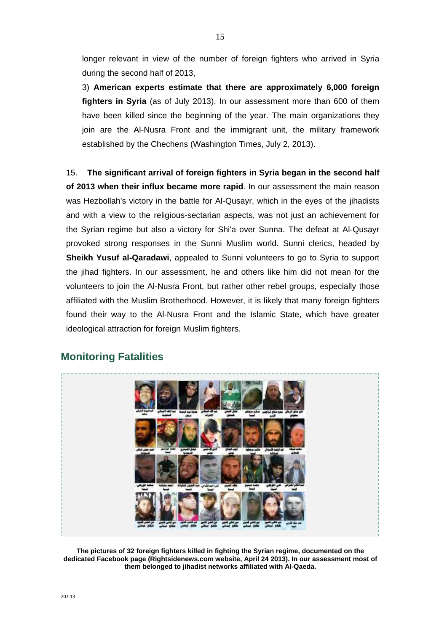longer relevant in view of the number of foreign fighters who arrived in Syria during the second half of 2013,

3) **American experts estimate that there are approximately 6,000 foreign fighters in Syria** (as of July 2013). In our assessment more than 600 of them have been killed since the beginning of the year. The main organizations they join are the Al-Nusra Front and the immigrant unit, the military framework established by the Chechens (Washington Times, July 2, 2013).

15. **The significant arrival of foreign fighters in Syria began in the second half of 2013 when their influx became more rapid**. In our assessment the main reason was Hezbollah's victory in the battle for Al-Qusayr, which in the eyes of the jihadists and with a view to the religious-sectarian aspects, was not just an achievement for the Syrian regime but also a victory for Shi'a over Sunna. The defeat at Al-Qusayr provoked strong responses in the Sunni Muslim world. Sunni clerics, headed by **Sheikh Yusuf al-Qaradawi**, appealed to Sunni volunteers to go to Syria to support the jihad fighters. In our assessment, he and others like him did not mean for the volunteers to join the Al-Nusra Front, but rather other rebel groups, especially those affiliated with the Muslim Brotherhood. However, it is likely that many foreign fighters found their way to the Al-Nusra Front and the Islamic State, which have greater ideological attraction for foreign Muslim fighters.



## **Monitoring Fatalities**

**The pictures of 32 foreign fighters killed in fighting the Syrian regime, documented on the dedicated Facebook page (Rightsidenews.com website, April 24 2013). In our assessment most of them belonged to jihadist networks affiliated with Al-Qaeda.**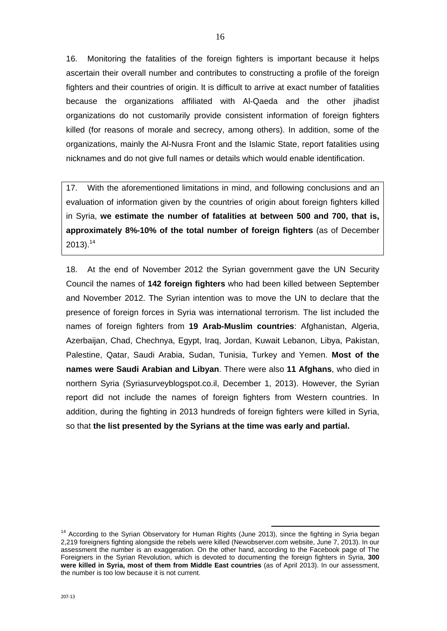16. Monitoring the fatalities of the foreign fighters is important because it helps ascertain their overall number and contributes to constructing a profile of the foreign fighters and their countries of origin. It is difficult to arrive at exact number of fatalities because the organizations affiliated with Al-Qaeda and the other jihadist organizations do not customarily provide consistent information of foreign fighters killed (for reasons of morale and secrecy, among others). In addition, some of the organizations, mainly the Al-Nusra Front and the Islamic State, report fatalities using nicknames and do not give full names or details which would enable identification.

17. With the aforementioned limitations in mind, and following conclusions and an evaluation of information given by the countries of origin about foreign fighters killed in Syria, **we estimate the number of fatalities at between 500 and 700, that is, approximately 8%-10% of the total number of foreign fighters** (as of December  $2013$ ).<sup>14</sup>

18. At the end of November 2012 the Syrian government gave the UN Security Council the names of **142 foreign fighters** who had been killed between September and November 2012. The Syrian intention was to move the UN to declare that the presence of foreign forces in Syria was international terrorism. The list included the names of foreign fighters from **19 Arab-Muslim countries**: Afghanistan, Algeria, Azerbaijan, Chad, Chechnya, Egypt, Iraq, Jordan, Kuwait Lebanon, Libya, Pakistan, Palestine, Qatar, Saudi Arabia, Sudan, Tunisia, Turkey and Yemen. **Most of the names were Saudi Arabian and Libyan**. There were also **11 Afghans**, who died in northern Syria (Syriasurveyblogspot.co.il, December 1, 2013). However, the Syrian report did not include the names of foreign fighters from Western countries. In addition, during the fighting in 2013 hundreds of foreign fighters were killed in Syria, so that **the list presented by the Syrians at the time was early and partial.**

<sup>&</sup>lt;sup>14</sup> According to the Syrian Observatory for Human Rights (June 2013), since the fighting in Syria began 2,219 foreigners fighting alongside the rebels were killed (Newobserver.com website, June 7, 2013). In our assessment the number is an exaggeration. On the other hand, according to the Facebook page of The Foreigners in the Syrian Revolution, which is devoted to documenting the foreign fighters in Syria, **300 were killed in Syria, most of them from Middle East countries** (as of April 2013). In our assessment, the number is too low because it is not current.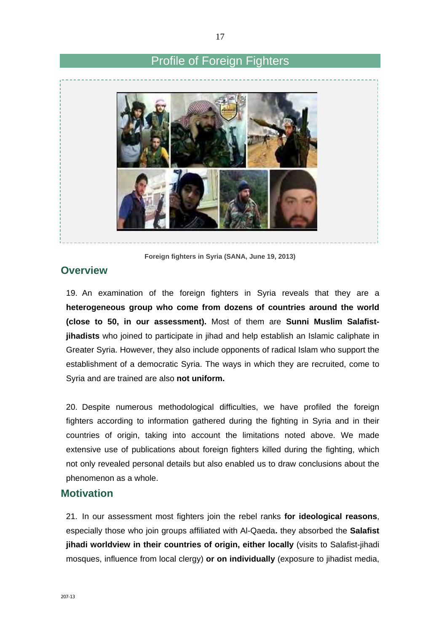## Profile of Foreign Fighters



**Foreign fighters in Syria (SANA, June 19, 2013)** 

### **Overview**

19. An examination of the foreign fighters in Syria reveals that they are a **heterogeneous group who come from dozens of countries around the world (close to 50, in our assessment).** Most of them are **Sunni Muslim Salafistjihadists** who joined to participate in jihad and help establish an Islamic caliphate in Greater Syria. However, they also include opponents of radical Islam who support the establishment of a democratic Syria. The ways in which they are recruited, come to Syria and are trained are also **not uniform.** 

20. Despite numerous methodological difficulties, we have profiled the foreign fighters according to information gathered during the fighting in Syria and in their countries of origin, taking into account the limitations noted above. We made extensive use of publications about foreign fighters killed during the fighting, which not only revealed personal details but also enabled us to draw conclusions about the phenomenon as a whole.

### **Motivation**

21. In our assessment most fighters join the rebel ranks **for ideological reasons**, especially those who join groups affiliated with Al-Qaeda**.** they absorbed the **Salafist jihadi worldview in their countries of origin, either locally** (visits to Salafist-jihadi mosques, influence from local clergy) **or on individually** (exposure to jihadist media,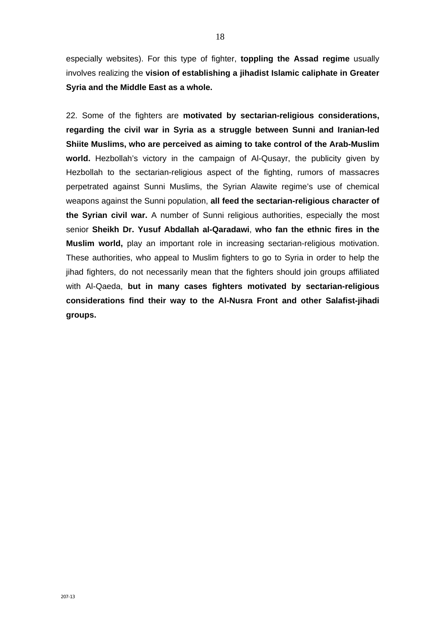especially websites). For this type of fighter, **toppling the Assad regime** usually involves realizing the **vision of establishing a jihadist Islamic caliphate in Greater Syria and the Middle East as a whole.**

22. Some of the fighters are **motivated by sectarian-religious considerations, regarding the civil war in Syria as a struggle between Sunni and Iranian-led Shiite Muslims, who are perceived as aiming to take control of the Arab-Muslim world.** Hezbollah's victory in the campaign of Al-Qusayr, the publicity given by Hezbollah to the sectarian-religious aspect of the fighting, rumors of massacres perpetrated against Sunni Muslims, the Syrian Alawite regime's use of chemical weapons against the Sunni population, **all feed the sectarian-religious character of the Syrian civil war.** A number of Sunni religious authorities, especially the most senior **Sheikh Dr. Yusuf Abdallah al-Qaradawi**, **who fan the ethnic fires in the Muslim world,** play an important role in increasing sectarian-religious motivation. These authorities, who appeal to Muslim fighters to go to Syria in order to help the jihad fighters, do not necessarily mean that the fighters should join groups affiliated with Al-Qaeda, **but in many cases fighters motivated by sectarian-religious considerations find their way to the Al-Nusra Front and other Salafist-jihadi groups.**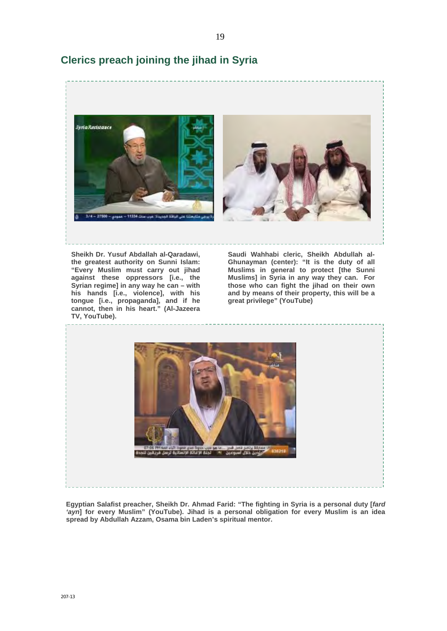

## **Clerics preach joining the jihad in Syria**

**"Every Muslim must carry out jihad against these oppressors [i.e., the Syrian regime] in any way he can – with his hands [i.e., violence], with his tongue [i.e., propaganda], and if he cannot, then in his heart." (Al-Jazeera TV, YouTube).** 

**Muslims in general to protect [the Sunni Muslims] in Syria in any way they can. For those who can fight the jihad on their own and by means of their property, this will be a great privilege" (YouTube)** 



**Egyptian Salafist preacher, Sheikh Dr. Ahmad Farid: "The fighting in Syria is a personal duty [***fard 'ayn***] for every Muslim" (YouTube). Jihad is a personal obligation for every Muslim is an idea spread by Abdullah Azzam, Osama bin Laden's spiritual mentor.**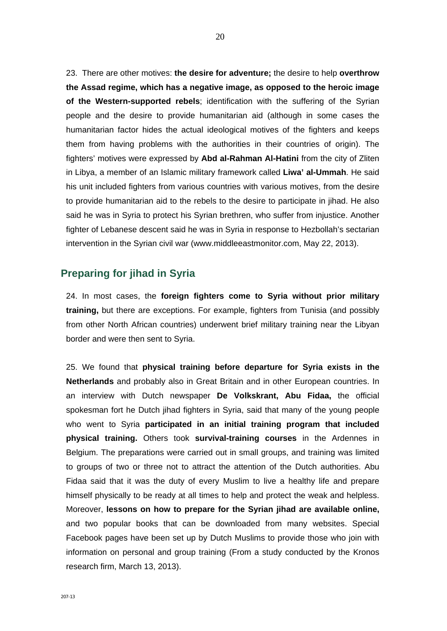23. There are other motives: **the desire for adventure;** the desire to help **overthrow the Assad regime, which has a negative image, as opposed to the heroic image of the Western-supported rebels**; identification with the suffering of the Syrian people and the desire to provide humanitarian aid (although in some cases the humanitarian factor hides the actual ideological motives of the fighters and keeps them from having problems with the authorities in their countries of origin). The fighters' motives were expressed by **Abd al-Rahman Al-Hatini** from the city of Zliten in Libya, a member of an Islamic military framework called **Liwa' al-Ummah**. He said his unit included fighters from various countries with various motives, from the desire to provide humanitarian aid to the rebels to the desire to participate in jihad. He also said he was in Syria to protect his Syrian brethren, who suffer from injustice. Another fighter of Lebanese descent said he was in Syria in response to Hezbollah's sectarian intervention in the Syrian civil war (www.middleeastmonitor.com, May 22, 2013).

### **Preparing for jihad in Syria**

24. In most cases, the **foreign fighters come to Syria without prior military training,** but there are exceptions. For example, fighters from Tunisia (and possibly from other North African countries) underwent brief military training near the Libyan border and were then sent to Syria.

25. We found that **physical training before departure for Syria exists in the Netherlands** and probably also in Great Britain and in other European countries. In an interview with Dutch newspaper **De Volkskrant, Abu Fidaa,** the official spokesman fort he Dutch jihad fighters in Syria, said that many of the young people who went to Syria **participated in an initial training program that included physical training.** Others took **survival-training courses** in the Ardennes in Belgium. The preparations were carried out in small groups, and training was limited to groups of two or three not to attract the attention of the Dutch authorities. Abu Fidaa said that it was the duty of every Muslim to live a healthy life and prepare himself physically to be ready at all times to help and protect the weak and helpless. Moreover, **lessons on how to prepare for the Syrian jihad are available online,** and two popular books that can be downloaded from many websites. Special Facebook pages have been set up by Dutch Muslims to provide those who join with information on personal and group training (From a study conducted by the Kronos research firm, March 13, 2013).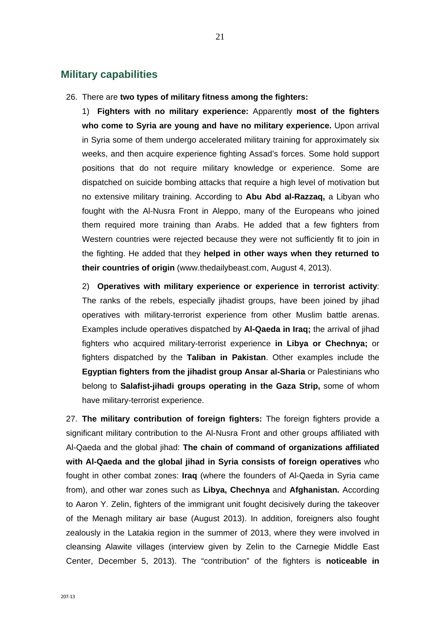### **Military capabilities**

26. There are **two types of military fitness among the fighters:**

1) **Fighters with no military experience:** Apparently **most of the fighters who come to Syria are young and have no military experience.** Upon arrival in Syria some of them undergo accelerated military training for approximately six weeks, and then acquire experience fighting Assad's forces. Some hold support positions that do not require military knowledge or experience. Some are dispatched on suicide bombing attacks that require a high level of motivation but no extensive military training. According to **Abu Abd al-Razzaq,** a Libyan who fought with the Al-Nusra Front in Aleppo, many of the Europeans who joined them required more training than Arabs. He added that a few fighters from Western countries were rejected because they were not sufficiently fit to join in the fighting. He added that they **helped in other ways when they returned to their countries of origin** (www.thedailybeast.com, August 4, 2013).

2) **Operatives with military experience or experience in terrorist activity**: The ranks of the rebels, especially jihadist groups, have been joined by jihad operatives with military-terrorist experience from other Muslim battle arenas. Examples include operatives dispatched by **Al-Qaeda in Iraq;** the arrival of jihad fighters who acquired military-terrorist experience **in Libya or Chechnya;** or fighters dispatched by the **Taliban in Pakistan**. Other examples include the **Egyptian fighters from the jihadist group Ansar al-Sharia** or Palestinians who belong to **Salafist-jihadi groups operating in the Gaza Strip,** some of whom have military-terrorist experience.

27. **The military contribution of foreign fighters:** The foreign fighters provide a significant military contribution to the Al-Nusra Front and other groups affiliated with Al-Qaeda and the global jihad: **The chain of command of organizations affiliated with Al-Qaeda and the global jihad in Syria consists of foreign operatives** who fought in other combat zones: **Iraq** (where the founders of Al-Qaeda in Syria came from), and other war zones such as **Libya, Chechnya** and **Afghanistan.** According to Aaron Y. Zelin, fighters of the immigrant unit fought decisively during the takeover of the Menagh military air base (August 2013). In addition, foreigners also fought zealously in the Latakia region in the summer of 2013, where they were involved in cleansing Alawite villages (interview given by Zelin to the Carnegie Middle East Center, December 5, 2013). The "contribution" of the fighters is **noticeable in**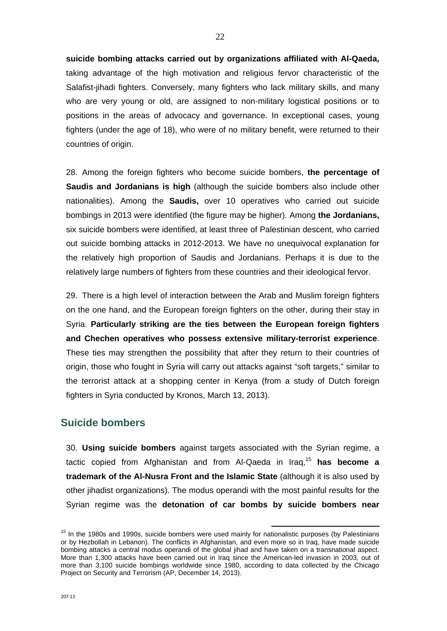**suicide bombing attacks carried out by organizations affiliated with Al-Qaeda,**  taking advantage of the high motivation and religious fervor characteristic of the Salafist-jihadi fighters. Conversely, many fighters who lack military skills, and many who are very young or old, are assigned to non-military logistical positions or to positions in the areas of advocacy and governance. In exceptional cases, young fighters (under the age of 18), who were of no military benefit, were returned to their countries of origin.

28. Among the foreign fighters who become suicide bombers, **the percentage of Saudis and Jordanians is high** (although the suicide bombers also include other nationalities). Among the **Saudis,** over 10 operatives who carried out suicide bombings in 2013 were identified (the figure may be higher). Among **the Jordanians,** six suicide bombers were identified, at least three of Palestinian descent, who carried out suicide bombing attacks in 2012-2013. We have no unequivocal explanation for the relatively high proportion of Saudis and Jordanians. Perhaps it is due to the relatively large numbers of fighters from these countries and their ideological fervor.

29. There is a high level of interaction between the Arab and Muslim foreign fighters on the one hand, and the European foreign fighters on the other, during their stay in Syria. **Particularly striking are the ties between the European foreign fighters and Chechen operatives who possess extensive military-terrorist experience**. These ties may strengthen the possibility that after they return to their countries of origin, those who fought in Syria will carry out attacks against "soft targets," similar to the terrorist attack at a shopping center in Kenya (from a study of Dutch foreign fighters in Syria conducted by Kronos, March 13, 2013).

#### **Suicide bombers**

30. **Using suicide bombers** against targets associated with the Syrian regime, a tactic copied from Afghanistan and from Al-Qaeda in Iraq,<sup>15</sup> **has become a trademark of the Al-Nusra Front and the Islamic State** (although it is also used by other jihadist organizations). The modus operandi with the most painful results for the Syrian regime was the **detonation of car bombs by suicide bombers near** 

<sup>&</sup>lt;sup>15</sup> In the 1980s and 1990s, suicide bombers were used mainly for nationalistic purposes (by Palestinians or by Hezbollah in Lebanon). The conflicts in Afghanistan, and even more so in Iraq, have made suicide bombing attacks a central modus operandi of the global jihad and have taken on a transnational aspect. More than 1,300 attacks have been carried out in Iraq since the American-led invasion in 2003, out of more than 3,100 suicide bombings worldwide since 1980, according to data collected by the Chicago Project on Security and Terrorism (AP, December 14, 2013).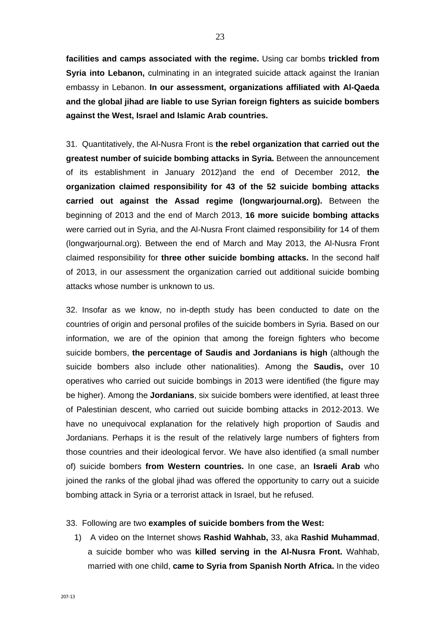**facilities and camps associated with the regime.** Using car bombs **trickled from Syria into Lebanon,** culminating in an integrated suicide attack against the Iranian embassy in Lebanon. **In our assessment, organizations affiliated with Al-Qaeda and the global jihad are liable to use Syrian foreign fighters as suicide bombers against the West, Israel and Islamic Arab countries.**

31. Quantitatively, the Al-Nusra Front is **the rebel organization that carried out the greatest number of suicide bombing attacks in Syria.** Between the announcement of its establishment in January 2012)and the end of December 2012, **the organization claimed responsibility for 43 of the 52 suicide bombing attacks carried out against the Assad regime (longwarjournal.org).** Between the beginning of 2013 and the end of March 2013, **16 more suicide bombing attacks** were carried out in Syria, and the Al-Nusra Front claimed responsibility for 14 of them (longwarjournal.org). Between the end of March and May 2013, the Al-Nusra Front claimed responsibility for **three other suicide bombing attacks.** In the second half of 2013, in our assessment the organization carried out additional suicide bombing attacks whose number is unknown to us.

32. Insofar as we know, no in-depth study has been conducted to date on the countries of origin and personal profiles of the suicide bombers in Syria. Based on our information, we are of the opinion that among the foreign fighters who become suicide bombers, **the percentage of Saudis and Jordanians is high** (although the suicide bombers also include other nationalities). Among the **Saudis,** over 10 operatives who carried out suicide bombings in 2013 were identified (the figure may be higher). Among the **Jordanians**, six suicide bombers were identified, at least three of Palestinian descent, who carried out suicide bombing attacks in 2012-2013. We have no unequivocal explanation for the relatively high proportion of Saudis and Jordanians. Perhaps it is the result of the relatively large numbers of fighters from those countries and their ideological fervor. We have also identified (a small number of) suicide bombers **from Western countries.** In one case, an **Israeli Arab** who joined the ranks of the global jihad was offered the opportunity to carry out a suicide bombing attack in Syria or a terrorist attack in Israel, but he refused.

#### 33. Following are two **examples of suicide bombers from the West:**

1) A video on the Internet shows **Rashid Wahhab,** 33, aka **Rashid Muhammad**, a suicide bomber who was **killed serving in the Al-Nusra Front.** Wahhab, married with one child, **came to Syria from Spanish North Africa.** In the video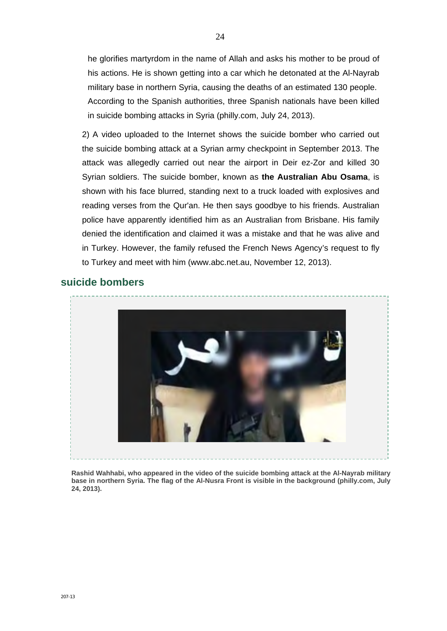he glorifies martyrdom in the name of Allah and asks his mother to be proud of his actions. He is shown getting into a car which he detonated at the Al-Nayrab military base in northern Syria, causing the deaths of an estimated 130 people. According to the Spanish authorities, three Spanish nationals have been killed in suicide bombing attacks in Syria (philly.com, July 24, 2013).

2) A video uploaded to the Internet shows the suicide bomber who carried out the suicide bombing attack at a Syrian army checkpoint in September 2013. The attack was allegedly carried out near the airport in Deir ez-Zor and killed 30 Syrian soldiers. The suicide bomber, known as **the Australian Abu Osama**, is shown with his face blurred, standing next to a truck loaded with explosives and reading verses from the Qur'an. He then says goodbye to his friends. Australian police have apparently identified him as an Australian from Brisbane. His family denied the identification and claimed it was a mistake and that he was alive and in Turkey. However, the family refused the French News Agency's request to fly to Turkey and meet with him (www.abc.net.au, November 12, 2013).

### **suicide bombers**



**Rashid Wahhabi, who appeared in the video of the suicide bombing attack at the Al-Nayrab military base in northern Syria. The flag of the Al-Nusra Front is visible in the background (philly.com, July 24, 2013).**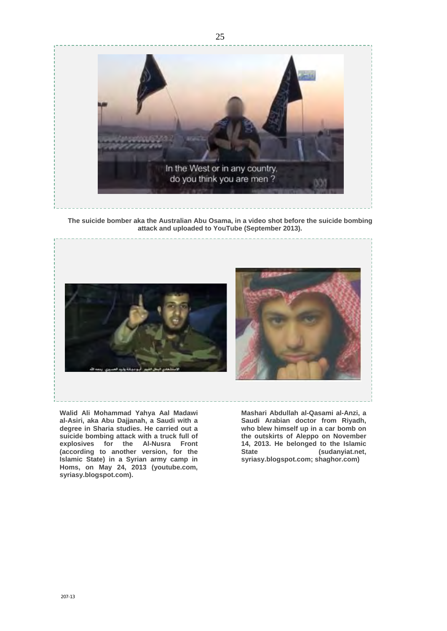

**The suicide bomber aka the Australian Abu Osama, in a video shot before the suicide bombing attack and uploaded to YouTube (September 2013).**



**Walid Ali Mohammad Yahya Aal Madawi al-Asiri, aka Abu Dajjanah, a Saudi with a degree in Sharia studies. He carried out a suicide bombing attack with a truck full of explosives for the Al-Nusra Front (according to another version, for the Islamic State) in a Syrian army camp in Homs, on May 24, 2013 (youtube.com, syriasy.blogspot.com).** 

**Mashari Abdullah al-Qasami al-Anzi, a Saudi Arabian doctor from Riyadh, who blew himself up in a car bomb on the outskirts of Aleppo on November 14, 2013. He belonged to the Islamic State (sudanyiat.net, syriasy.blogspot.com; shaghor.com)**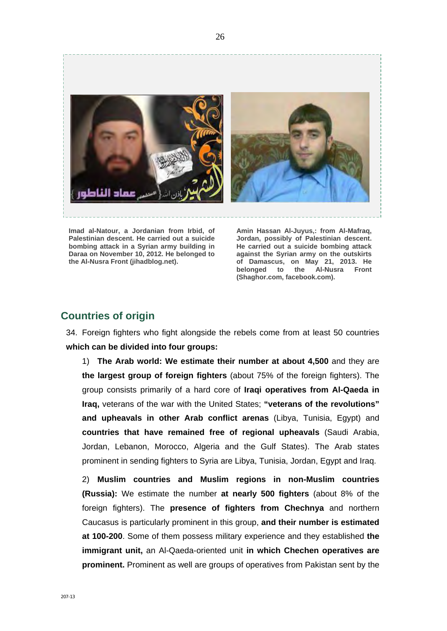

**Imad al-Natour, a Jordanian from Irbid, of Palestinian descent. He carried out a suicide bombing attack in a Syrian army building in Daraa on November 10, 2012. He belonged to the Al-Nusra Front (jihadblog.net).** 

**Amin Hassan Al-Juyus,: from Al-Mafraq, Jordan, possibly of Palestinian descent. He carried out a suicide bombing attack against the Syrian army on the outskirts of Damascus, on May 21, 2013. He belonged to the Al-Nusra Front (Shaghor.com, facebook.com).** 

### **Countries of origin**

34. Foreign fighters who fight alongside the rebels come from at least 50 countries **which can be divided into four groups:**

1) **The Arab world: We estimate their number at about 4,500** and they are **the largest group of foreign fighters** (about 75% of the foreign fighters). The group consists primarily of a hard core of **Iraqi operatives from Al-Qaeda in Iraq,** veterans of the war with the United States; **"veterans of the revolutions" and upheavals in other Arab conflict arenas** (Libya, Tunisia, Egypt) and **countries that have remained free of regional upheavals** (Saudi Arabia, Jordan, Lebanon, Morocco, Algeria and the Gulf States). The Arab states prominent in sending fighters to Syria are Libya, Tunisia, Jordan, Egypt and Iraq.

2) **Muslim countries and Muslim regions in non-Muslim countries (Russia):** We estimate the number **at nearly 500 fighters** (about 8% of the foreign fighters). The **presence of fighters from Chechnya** and northern Caucasus is particularly prominent in this group, **and their number is estimated at 100-200**. Some of them possess military experience and they established **the immigrant unit,** an Al-Qaeda-oriented unit **in which Chechen operatives are prominent.** Prominent as well are groups of operatives from Pakistan sent by the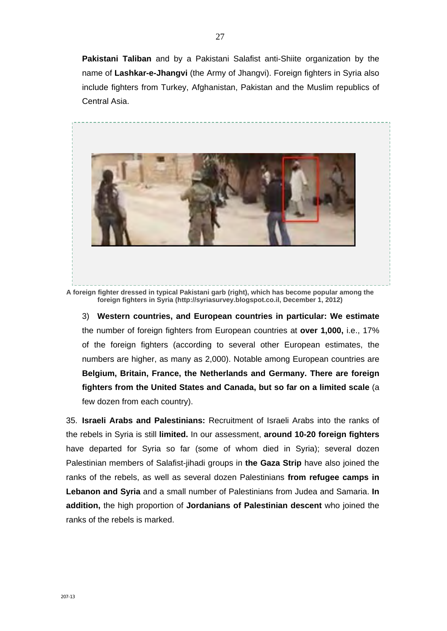**Pakistani Taliban** and by a Pakistani Salafist anti-Shiite organization by the name of **Lashkar-e-Jhangvi** (the Army of Jhangvi). Foreign fighters in Syria also include fighters from Turkey, Afghanistan, Pakistan and the Muslim republics of Central Asia.



**A foreign fighter dressed in typical Pakistani garb (right), which has become popular among the foreign fighters in Syria (http://syriasurvey.blogspot.co.il, December 1, 2012)**

3) **Western countries, and European countries in particular: We estimate** the number of foreign fighters from European countries at **over 1,000,** i.e., 17% of the foreign fighters (according to several other European estimates, the numbers are higher, as many as 2,000). Notable among European countries are **Belgium, Britain, France, the Netherlands and Germany. There are foreign fighters from the United States and Canada, but so far on a limited scale** (a few dozen from each country).

35. **Israeli Arabs and Palestinians:** Recruitment of Israeli Arabs into the ranks of the rebels in Syria is still **limited.** In our assessment, **around 10-20 foreign fighters** have departed for Syria so far (some of whom died in Syria); several dozen Palestinian members of Salafist-jihadi groups in **the Gaza Strip** have also joined the ranks of the rebels, as well as several dozen Palestinians **from refugee camps in Lebanon and Syria** and a small number of Palestinians from Judea and Samaria. **In addition,** the high proportion of **Jordanians of Palestinian descent** who joined the ranks of the rebels is marked.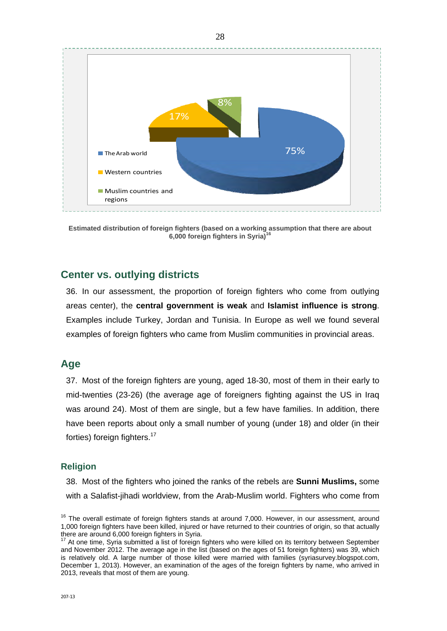

**Estimated distribution of foreign fighters (based on a working assumption that there are about 6,000 foreign fighters in Syria)<sup>16</sup>**

### **Center vs. outlying districts**

36. In our assessment, the proportion of foreign fighters who come from outlying areas center), the **central government is weak** and **Islamist influence is strong**. Examples include Turkey, Jordan and Tunisia. In Europe as well we found several examples of foreign fighters who came from Muslim communities in provincial areas.

### **Age**

37. Most of the foreign fighters are young, aged 18-30, most of them in their early to mid-twenties (23-26) (the average age of foreigners fighting against the US in Iraq was around 24). Most of them are single, but a few have families. In addition, there have been reports about only a small number of young (under 18) and older (in their forties) foreign fighters.<sup>17</sup>

#### **Religion**

38. Most of the fighters who joined the ranks of the rebels are **Sunni Muslims,** some with a Salafist-jihadi worldview, from the Arab-Muslim world. Fighters who come from

 $16$  The overall estimate of foreign fighters stands at around 7,000. However, in our assessment, around 1,000 foreign fighters have been killed, injured or have returned to their countries of origin, so that actually there are around 6,000 foreign fighters in Syria.<br><sup>17</sup> At one time, Syria submitted a list of foreign fighters who were killed on its territory between September

and November 2012. The average age in the list (based on the ages of 51 foreign fighters) was 39, which is relatively old. A large number of those killed were married with families (syriasurvey.blogspot.com, December 1, 2013). However, an examination of the ages of the foreign fighters by name, who arrived in 2013, reveals that most of them are young.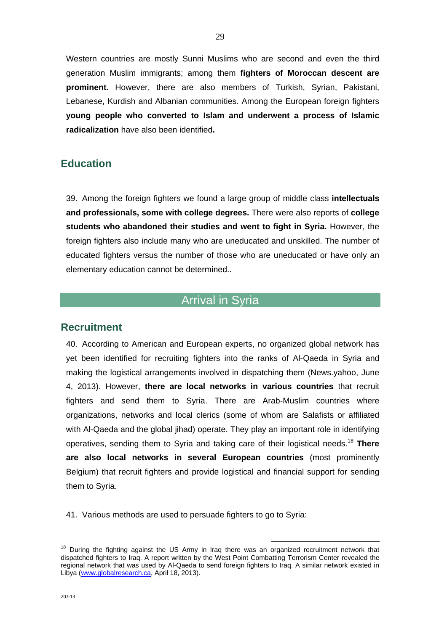Western countries are mostly Sunni Muslims who are second and even the third generation Muslim immigrants; among them **fighters of Moroccan descent are prominent.** However, there are also members of Turkish, Syrian, Pakistani, Lebanese, Kurdish and Albanian communities. Among the European foreign fighters **young people who converted to Islam and underwent a process of Islamic radicalization** have also been identified**.** 

### **Education**

39. Among the foreign fighters we found a large group of middle class **intellectuals and professionals, some with college degrees.** There were also reports of **college students who abandoned their studies and went to fight in Syria.** However, the foreign fighters also include many who are uneducated and unskilled. The number of educated fighters versus the number of those who are uneducated or have only an elementary education cannot be determined..

## Arrival in Syria

### **Recruitment**

40. According to American and European experts, no organized global network has yet been identified for recruiting fighters into the ranks of Al-Qaeda in Syria and making the logistical arrangements involved in dispatching them (News.yahoo, June 4, 2013). However, **there are local networks in various countries** that recruit fighters and send them to Syria. There are Arab-Muslim countries where organizations, networks and local clerics (some of whom are Salafists or affiliated with Al-Qaeda and the global jihad) operate. They play an important role in identifying operatives, sending them to Syria and taking care of their logistical needs.18 **There are also local networks in several European countries** (most prominently Belgium) that recruit fighters and provide logistical and financial support for sending them to Syria.

41. Various methods are used to persuade fighters to go to Syria:

<sup>&</sup>lt;sup>18</sup> During the fighting against the US Army in Iraq there was an organized recruitment network that dispatched fighters to Iraq. A report written by the West Point Combatting Terrorism Center revealed the regional network that was used by Al-Qaeda to send foreign fighters to Iraq. A similar network existed in Libya (www.globalresearch.ca, April 18, 2013).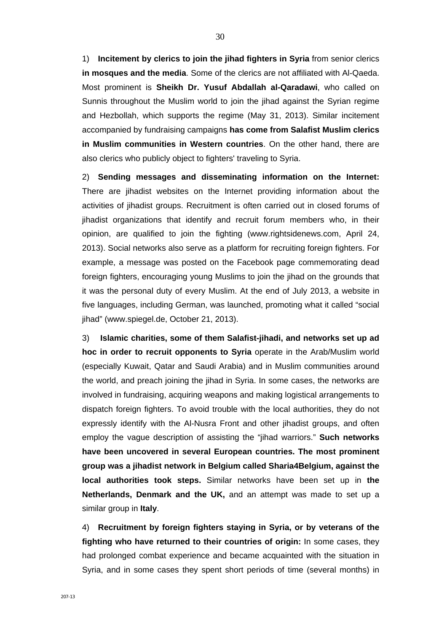1) **Incitement by clerics to join the jihad fighters in Syria** from senior clerics **in mosques and the media**. Some of the clerics are not affiliated with Al-Qaeda. Most prominent is **Sheikh Dr. Yusuf Abdallah al-Qaradawi**, who called on Sunnis throughout the Muslim world to join the jihad against the Syrian regime and Hezbollah, which supports the regime (May 31, 2013). Similar incitement accompanied by fundraising campaigns **has come from Salafist Muslim clerics in Muslim communities in Western countries**. On the other hand, there are also clerics who publicly object to fighters' traveling to Syria.

2) **Sending messages and disseminating information on the Internet:**  There are jihadist websites on the Internet providing information about the activities of jihadist groups. Recruitment is often carried out in closed forums of jihadist organizations that identify and recruit forum members who, in their opinion, are qualified to join the fighting (www.rightsidenews.com, April 24, 2013). Social networks also serve as a platform for recruiting foreign fighters. For example, a message was posted on the Facebook page commemorating dead foreign fighters, encouraging young Muslims to join the jihad on the grounds that it was the personal duty of every Muslim. At the end of July 2013, a website in five languages, including German, was launched, promoting what it called "social jihad" (www.spiegel.de, October 21, 2013).

3) **Islamic charities, some of them Salafist-jihadi, and networks set up ad hoc in order to recruit opponents to Syria** operate in the Arab/Muslim world (especially Kuwait, Qatar and Saudi Arabia) and in Muslim communities around the world, and preach joining the jihad in Syria. In some cases, the networks are involved in fundraising, acquiring weapons and making logistical arrangements to dispatch foreign fighters. To avoid trouble with the local authorities, they do not expressly identify with the Al-Nusra Front and other jihadist groups, and often employ the vague description of assisting the "jihad warriors." **Such networks have been uncovered in several European countries. The most prominent group was a jihadist network in Belgium called Sharia4Belgium, against the local authorities took steps.** Similar networks have been set up in **the Netherlands, Denmark and the UK,** and an attempt was made to set up a similar group in **Italy**.

4) **Recruitment by foreign fighters staying in Syria, or by veterans of the fighting who have returned to their countries of origin:** In some cases, they had prolonged combat experience and became acquainted with the situation in Syria, and in some cases they spent short periods of time (several months) in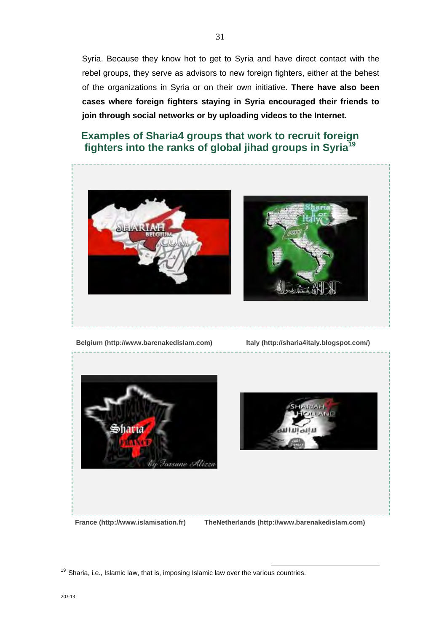Syria. Because they know hot to get to Syria and have direct contact with the rebel groups, they serve as advisors to new foreign fighters, either at the behest of the organizations in Syria or on their own initiative. **There have also been cases where foreign fighters staying in Syria encouraged their friends to join through social networks or by uploading videos to the Internet.** 

## **Examples of Sharia4 groups that work to recruit foreign fighters into the ranks of global jihad groups in Syria19**



**Belgium (http://www.barenakedislam.com) Italy (http://sharia4italy.blogspot.com/)** 



 $19$  Sharia, i.e., Islamic law, that is, imposing Islamic law over the various countries.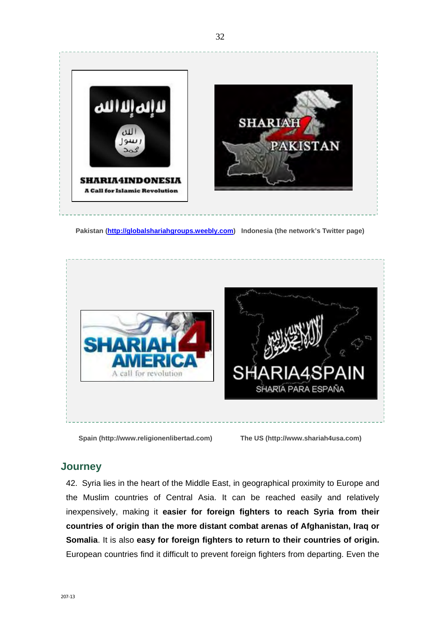

 **Pakistan (http://globalshariahgroups.weebly.com) Indonesia (the network's Twitter page)** 



**Spain (http://www.religionenlibertad.com) The US (http://www.shariah4usa.com)** 

## **Journey**

42. Syria lies in the heart of the Middle East, in geographical proximity to Europe and the Muslim countries of Central Asia. It can be reached easily and relatively inexpensively, making it **easier for foreign fighters to reach Syria from their countries of origin than the more distant combat arenas of Afghanistan, Iraq or Somalia**. It is also **easy for foreign fighters to return to their countries of origin.** European countries find it difficult to prevent foreign fighters from departing. Even the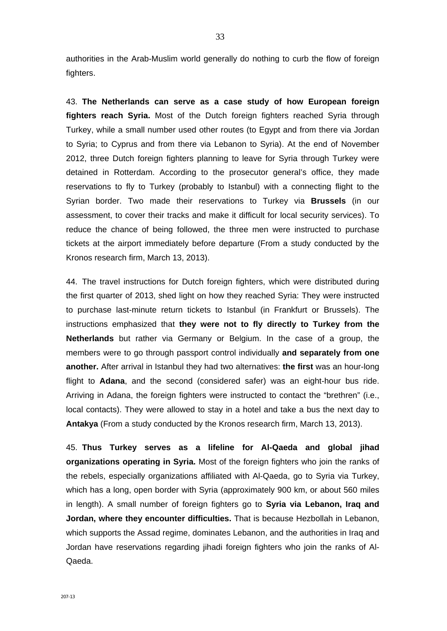authorities in the Arab-Muslim world generally do nothing to curb the flow of foreign fighters.

43. **The Netherlands can serve as a case study of how European foreign fighters reach Syria.** Most of the Dutch foreign fighters reached Syria through Turkey, while a small number used other routes (to Egypt and from there via Jordan to Syria; to Cyprus and from there via Lebanon to Syria). At the end of November 2012, three Dutch foreign fighters planning to leave for Syria through Turkey were detained in Rotterdam. According to the prosecutor general's office, they made reservations to fly to Turkey (probably to Istanbul) with a connecting flight to the Syrian border. Two made their reservations to Turkey via **Brussels** (in our assessment, to cover their tracks and make it difficult for local security services). To reduce the chance of being followed, the three men were instructed to purchase tickets at the airport immediately before departure (From a study conducted by the Kronos research firm, March 13, 2013).

44. The travel instructions for Dutch foreign fighters, which were distributed during the first quarter of 2013, shed light on how they reached Syria: They were instructed to purchase last-minute return tickets to Istanbul (in Frankfurt or Brussels). The instructions emphasized that **they were not to fly directly to Turkey from the Netherlands** but rather via Germany or Belgium. In the case of a group, the members were to go through passport control individually **and separately from one another.** After arrival in Istanbul they had two alternatives: **the first** was an hour-long flight to **Adana**, and the second (considered safer) was an eight-hour bus ride. Arriving in Adana, the foreign fighters were instructed to contact the "brethren" (i.e., local contacts). They were allowed to stay in a hotel and take a bus the next day to **Antakya** (From a study conducted by the Kronos research firm, March 13, 2013).

45. **Thus Turkey serves as a lifeline for Al-Qaeda and global jihad organizations operating in Syria.** Most of the foreign fighters who join the ranks of the rebels, especially organizations affiliated with Al-Qaeda, go to Syria via Turkey, which has a long, open border with Syria (approximately 900 km, or about 560 miles in length). A small number of foreign fighters go to **Syria via Lebanon, Iraq and Jordan, where they encounter difficulties.** That is because Hezbollah in Lebanon, which supports the Assad regime, dominates Lebanon, and the authorities in Iraq and Jordan have reservations regarding jihadi foreign fighters who join the ranks of Al-Qaeda.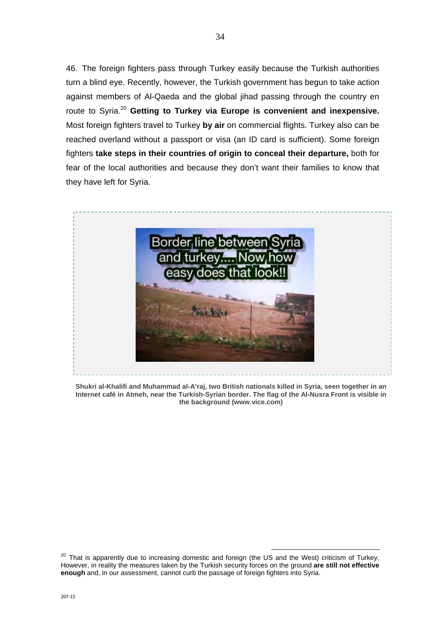46. The foreign fighters pass through Turkey easily because the Turkish authorities turn a blind eye. Recently, however, the Turkish government has begun to take action against members of Al-Qaeda and the global jihad passing through the country en route to Syria.<sup>20</sup> **Getting to Turkey via Europe is convenient and inexpensive.** Most foreign fighters travel to Turkey **by air** on commercial flights. Turkey also can be reached overland without a passport or visa (an ID card is sufficient). Some foreign fighters **take steps in their countries of origin to conceal their departure,** both for fear of the local authorities and because they don't want their families to know that they have left for Syria.



**Shukri al-Khalifi and Muhammad al-A'raj, two British nationals killed in Syria, seen together in an Internet café in Atmeh, near the Turkish-Syrian border. The flag of the Al-Nusra Front is visible in the background (www.vice.com)** 

<sup>&</sup>lt;sup>20</sup> That is apparently due to increasing domestic and foreign (the US and the West) criticism of Turkey. However, in reality the measures taken by the Turkish security forces on the ground **are still not effective enough** and, in our assessment, cannot curb the passage of foreign fighters into Syria.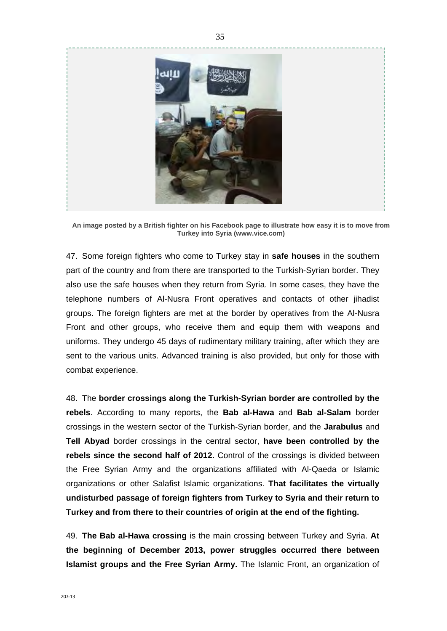

**An image posted by a British fighter on his Facebook page to illustrate how easy it is to move from Turkey into Syria (www.vice.com)** 

47. Some foreign fighters who come to Turkey stay in **safe houses** in the southern part of the country and from there are transported to the Turkish-Syrian border. They also use the safe houses when they return from Syria. In some cases, they have the telephone numbers of Al-Nusra Front operatives and contacts of other jihadist groups. The foreign fighters are met at the border by operatives from the Al-Nusra Front and other groups, who receive them and equip them with weapons and uniforms. They undergo 45 days of rudimentary military training, after which they are sent to the various units. Advanced training is also provided, but only for those with combat experience.

48. The **border crossings along the Turkish-Syrian border are controlled by the rebels**. According to many reports, the **Bab al-Hawa** and **Bab al-Salam** border crossings in the western sector of the Turkish-Syrian border, and the **Jarabulus** and **Tell Abyad** border crossings in the central sector, **have been controlled by the rebels since the second half of 2012.** Control of the crossings is divided between the Free Syrian Army and the organizations affiliated with Al-Qaeda or Islamic organizations or other Salafist Islamic organizations. **That facilitates the virtually undisturbed passage of foreign fighters from Turkey to Syria and their return to Turkey and from there to their countries of origin at the end of the fighting.** 

49. **The Bab al-Hawa crossing** is the main crossing between Turkey and Syria. **At the beginning of December 2013, power struggles occurred there between Islamist groups and the Free Syrian Army.** The Islamic Front, an organization of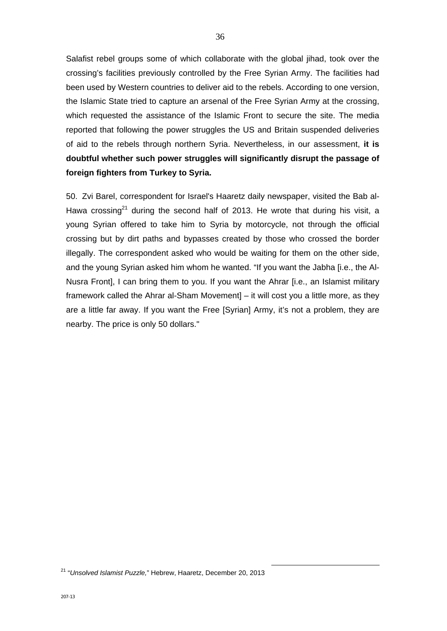Salafist rebel groups some of which collaborate with the global jihad, took over the crossing's facilities previously controlled by the Free Syrian Army. The facilities had been used by Western countries to deliver aid to the rebels. According to one version, the Islamic State tried to capture an arsenal of the Free Syrian Army at the crossing, which requested the assistance of the Islamic Front to secure the site. The media reported that following the power struggles the US and Britain suspended deliveries of aid to the rebels through northern Syria. Nevertheless, in our assessment, **it is doubtful whether such power struggles will significantly disrupt the passage of foreign fighters from Turkey to Syria.** 

50. Zvi Barel, correspondent for Israel's Haaretz daily newspaper, visited the Bab al-Hawa crossing<sup>21</sup> during the second half of 2013. He wrote that during his visit, a young Syrian offered to take him to Syria by motorcycle, not through the official crossing but by dirt paths and bypasses created by those who crossed the border illegally. The correspondent asked who would be waiting for them on the other side, and the young Syrian asked him whom he wanted. "If you want the Jabha [i.e., the Al-Nusra Front], I can bring them to you. If you want the Ahrar [i.e., an Islamist military framework called the Ahrar al-Sham Movement] – it will cost you a little more, as they are a little far away. If you want the Free [Syrian] Army, it's not a problem, they are nearby. The price is only 50 dollars."

21 "*Unsolved Islamist Puzzle,*" Hebrew, Haaretz, December 20, 2013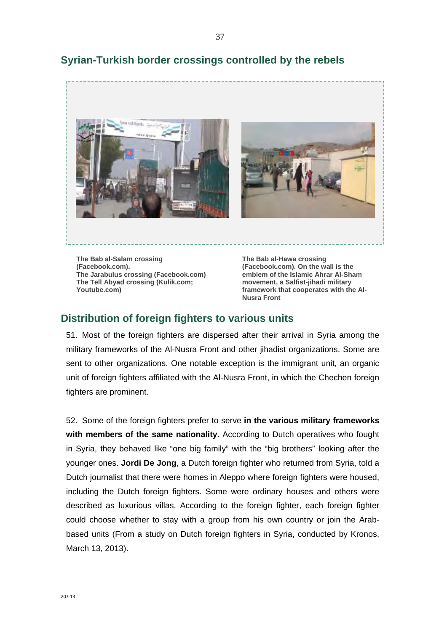

## **Syrian-Turkish border crossings controlled by the rebels**

**The Bab al-Salam crossing (Facebook.com). The Jarabulus crossing (Facebook.com) The Tell Abyad crossing (Kulik.com; Youtube.com)** 

**The Bab al-Hawa crossing (Facebook.com). On the wall is the emblem of the Islamic Ahrar Al-Sham movement, a Salfist-jihadi military framework that cooperates with the Al-Nusra Front** 

### **Distribution of foreign fighters to various units**

51. Most of the foreign fighters are dispersed after their arrival in Syria among the military frameworks of the Al-Nusra Front and other jihadist organizations. Some are sent to other organizations. One notable exception is the immigrant unit, an organic unit of foreign fighters affiliated with the Al-Nusra Front, in which the Chechen foreign fighters are prominent.

52. Some of the foreign fighters prefer to serve **in the various military frameworks with members of the same nationality.** According to Dutch operatives who fought in Syria, they behaved like "one big family" with the "big brothers" looking after the younger ones. **Jordi De Jong**, a Dutch foreign fighter who returned from Syria, told a Dutch journalist that there were homes in Aleppo where foreign fighters were housed, including the Dutch foreign fighters. Some were ordinary houses and others were described as luxurious villas. According to the foreign fighter, each foreign fighter could choose whether to stay with a group from his own country or join the Arabbased units (From a study on Dutch foreign fighters in Syria, conducted by Kronos, March 13, 2013).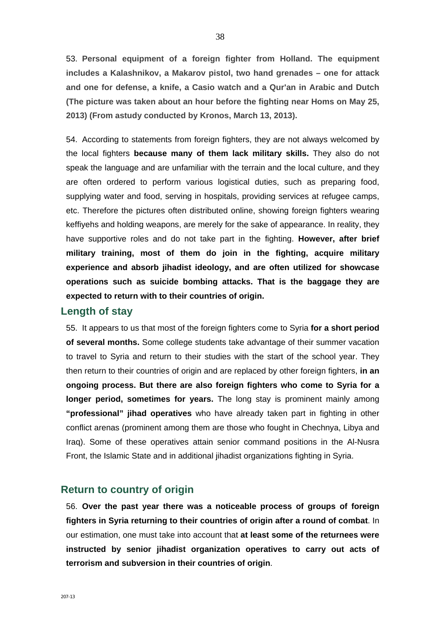53. **Personal equipment of a foreign fighter from Holland. The equipment includes a Kalashnikov, a Makarov pistol, two hand grenades – one for attack and one for defense, a knife, a Casio watch and a Qur'an in Arabic and Dutch (The picture was taken about an hour before the fighting near Homs on May 25, 2013) (From astudy conducted by Kronos, March 13, 2013).**

54. According to statements from foreign fighters, they are not always welcomed by the local fighters **because many of them lack military skills.** They also do not speak the language and are unfamiliar with the terrain and the local culture, and they are often ordered to perform various logistical duties, such as preparing food, supplying water and food, serving in hospitals, providing services at refugee camps, etc. Therefore the pictures often distributed online, showing foreign fighters wearing keffiyehs and holding weapons, are merely for the sake of appearance. In reality, they have supportive roles and do not take part in the fighting. **However, after brief military training, most of them do join in the fighting, acquire military experience and absorb jihadist ideology, and are often utilized for showcase operations such as suicide bombing attacks. That is the baggage they are expected to return with to their countries of origin.**

#### **Length of stay**

55. It appears to us that most of the foreign fighters come to Syria **for a short period of several months.** Some college students take advantage of their summer vacation to travel to Syria and return to their studies with the start of the school year. They then return to their countries of origin and are replaced by other foreign fighters, **in an ongoing process. But there are also foreign fighters who come to Syria for a longer period, sometimes for years.** The long stay is prominent mainly among **"professional" jihad operatives** who have already taken part in fighting in other conflict arenas (prominent among them are those who fought in Chechnya, Libya and Iraq). Some of these operatives attain senior command positions in the Al-Nusra Front, the Islamic State and in additional jihadist organizations fighting in Syria.

### **Return to country of origin**

56. **Over the past year there was a noticeable process of groups of foreign fighters in Syria returning to their countries of origin after a round of combat**. In our estimation, one must take into account that **at least some of the returnees were instructed by senior jihadist organization operatives to carry out acts of terrorism and subversion in their countries of origin**.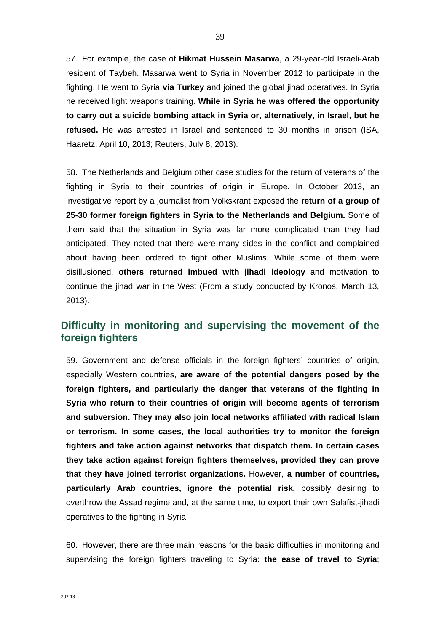57. For example, the case of **Hikmat Hussein Masarwa**, a 29-year-old Israeli-Arab resident of Taybeh. Masarwa went to Syria in November 2012 to participate in the fighting. He went to Syria **via Turkey** and joined the global jihad operatives. In Syria he received light weapons training. **While in Syria he was offered the opportunity to carry out a suicide bombing attack in Syria or, alternatively, in Israel, but he refused.** He was arrested in Israel and sentenced to 30 months in prison (ISA, Haaretz, April 10, 2013; Reuters, July 8, 2013).

58. The Netherlands and Belgium other case studies for the return of veterans of the fighting in Syria to their countries of origin in Europe. In October 2013, an investigative report by a journalist from Volkskrant exposed the **return of a group of 25-30 former foreign fighters in Syria to the Netherlands and Belgium.** Some of them said that the situation in Syria was far more complicated than they had anticipated. They noted that there were many sides in the conflict and complained about having been ordered to fight other Muslims. While some of them were disillusioned, **others returned imbued with jihadi ideology** and motivation to continue the jihad war in the West (From a study conducted by Kronos, March 13, 2013).

## **Difficulty in monitoring and supervising the movement of the foreign fighters**

59. Government and defense officials in the foreign fighters' countries of origin, especially Western countries, **are aware of the potential dangers posed by the foreign fighters, and particularly the danger that veterans of the fighting in Syria who return to their countries of origin will become agents of terrorism and subversion. They may also join local networks affiliated with radical Islam or terrorism. In some cases, the local authorities try to monitor the foreign fighters and take action against networks that dispatch them. In certain cases they take action against foreign fighters themselves, provided they can prove that they have joined terrorist organizations.** However, **a number of countries, particularly Arab countries, ignore the potential risk,** possibly desiring to overthrow the Assad regime and, at the same time, to export their own Salafist-jihadi operatives to the fighting in Syria.

60. However, there are three main reasons for the basic difficulties in monitoring and supervising the foreign fighters traveling to Syria: **the ease of travel to Syria**;